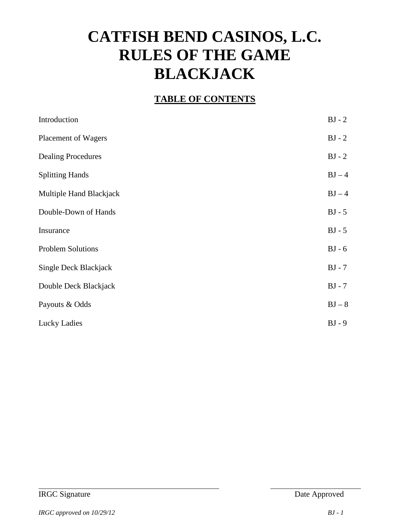# **CATFISH BEND CASINOS, L.C. RULES OF THE GAME BLACKJACK**

#### **TABLE OF CONTENTS**

| Introduction              | $BJ - 2$ |
|---------------------------|----------|
| Placement of Wagers       | $BJ - 2$ |
| <b>Dealing Procedures</b> | $BJ - 2$ |
| <b>Splitting Hands</b>    | $BJ-4$   |
| Multiple Hand Blackjack   | $BJ-4$   |
| Double-Down of Hands      | $BJ - 5$ |
| Insurance                 | $BJ - 5$ |
| <b>Problem Solutions</b>  | $BJ - 6$ |
| Single Deck Blackjack     | $BJ - 7$ |
| Double Deck Blackjack     | $BJ - 7$ |
| Payouts & Odds            | $BJ - 8$ |
| Lucky Ladies              | $BJ - 9$ |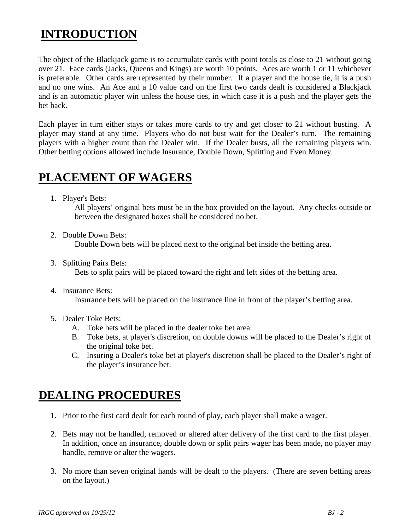### **INTRODUCTION**

The object of the Blackjack game is to accumulate cards with point totals as close to 21 without going over 21. Face cards (Jacks, Queens and Kings) are worth 10 points. Aces are worth 1 or 11 whichever is preferable. Other cards are represented by their number. If a player and the house tie, it is a push and no one wins. An Ace and a 10 value card on the first two cards dealt is considered a Blackjack and is an automatic player win unless the house ties, in which case it is a push and the player gets the bet back.

Each player in turn either stays or takes more cards to try and get closer to 21 without busting. A player may stand at any time. Players who do not bust wait for the Dealer's turn. The remaining players with a higher count than the Dealer win. If the Dealer busts, all the remaining players win. Other betting options allowed include Insurance, Double Down, Splitting and Even Money.

#### **PLACEMENT OF WAGERS**

1. Player's Bets:

All players' original bets must be in the box provided on the layout. Any checks outside or between the designated boxes shall be considered no bet.

- 2. Double Down Bets: Double Down bets will be placed next to the original bet inside the betting area.
- 3. Splitting Pairs Bets: Bets to split pairs will be placed toward the right and left sides of the betting area.
- 4. Insurance Bets:

Insurance bets will be placed on the insurance line in front of the player's betting area.

- 5. Dealer Toke Bets:
	- A. Toke bets will be placed in the dealer toke bet area.
	- B. Toke bets, at player's discretion, on double downs will be placed to the Dealer's right of the original toke bet.
	- C. Insuring a Dealer's toke bet at player's discretion shall be placed to the Dealer's right of the player's insurance bet.

### **DEALING PROCEDURES**

- 1. Prior to the first card dealt for each round of play, each player shall make a wager.
- 2. Bets may not be handled, removed or altered after delivery of the first card to the first player. In addition, once an insurance, double down or split pairs wager has been made, no player may handle, remove or alter the wagers.
- 3. No more than seven original hands will be dealt to the players. (There are seven betting areas on the layout.)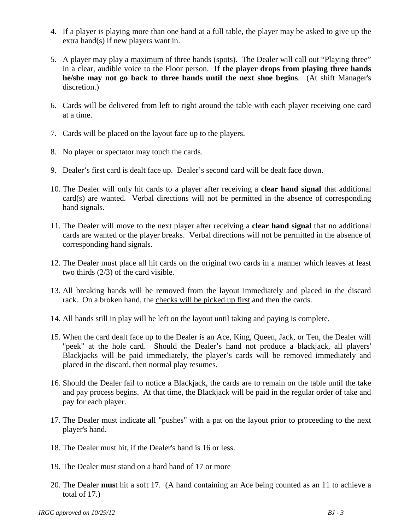- 4. If a player is playing more than one hand at a full table, the player may be asked to give up the extra hand(s) if new players want in.
- 5. A player may play a maximum of three hands (spots). The Dealer will call out "Playing three" in a clear, audible voice to the Floor person. **If the player drops from playing three hands he/she may not go back to three hands until the next shoe begins**. (At shift Manager's discretion.)
- 6. Cards will be delivered from left to right around the table with each player receiving one card at a time.
- 7. Cards will be placed on the layout face up to the players.
- 8. No player or spectator may touch the cards.
- 9. Dealer's first card is dealt face up. Dealer's second card will be dealt face down.
- 10. The Dealer will only hit cards to a player after receiving a **clear hand signal** that additional card(s) are wanted. Verbal directions will not be permitted in the absence of corresponding hand signals.
- 11. The Dealer will move to the next player after receiving a **clear hand signal** that no additional cards are wanted or the player breaks. Verbal directions will not be permitted in the absence of corresponding hand signals.
- 12. The Dealer must place all hit cards on the original two cards in a manner which leaves at least two thirds (2/3) of the card visible.
- 13. All breaking hands will be removed from the layout immediately and placed in the discard rack. On a broken hand, the checks will be picked up first and then the cards.
- 14. All hands still in play will be left on the layout until taking and paying is complete.
- 15. When the card dealt face up to the Dealer is an Ace, King, Queen, Jack, or Ten, the Dealer will "peek" at the hole card. Should the Dealer's hand not produce a blackjack, all players' Blackjacks will be paid immediately, the player's cards will be removed immediately and placed in the discard, then normal play resumes.
- 16. Should the Dealer fail to notice a Blackjack, the cards are to remain on the table until the take and pay process begins. At that time, the Blackjack will be paid in the regular order of take and pay for each player.
- 17. The Dealer must indicate all "pushes" with a pat on the layout prior to proceeding to the next player's hand.
- 18. The Dealer must hit, if the Dealer's hand is 16 or less.
- 19. The Dealer must stand on a hard hand of 17 or more
- 20. The Dealer **mus**t hit a soft 17. (A hand containing an Ace being counted as an 11 to achieve a total of 17.)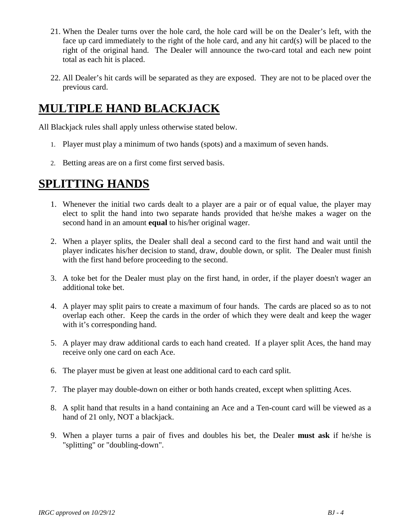- 21. When the Dealer turns over the hole card, the hole card will be on the Dealer's left, with the face up card immediately to the right of the hole card, and any hit card(s) will be placed to the right of the original hand. The Dealer will announce the two-card total and each new point total as each hit is placed.
- 22. All Dealer's hit cards will be separated as they are exposed. They are not to be placed over the previous card.

### **MULTIPLE HAND BLACKJACK**

All Blackjack rules shall apply unless otherwise stated below.

- 1. Player must play a minimum of two hands (spots) and a maximum of seven hands.
- 2. Betting areas are on a first come first served basis.

#### **SPLITTING HANDS**

- 1. Whenever the initial two cards dealt to a player are a pair or of equal value, the player may elect to split the hand into two separate hands provided that he/she makes a wager on the second hand in an amount **equal** to his/her original wager.
- 2. When a player splits, the Dealer shall deal a second card to the first hand and wait until the player indicates his/her decision to stand, draw, double down, or split. The Dealer must finish with the first hand before proceeding to the second.
- 3. A toke bet for the Dealer must play on the first hand, in order, if the player doesn't wager an additional toke bet.
- 4. A player may split pairs to create a maximum of four hands. The cards are placed so as to not overlap each other. Keep the cards in the order of which they were dealt and keep the wager with it's corresponding hand.
- 5. A player may draw additional cards to each hand created. If a player split Aces, the hand may receive only one card on each Ace.
- 6. The player must be given at least one additional card to each card split.
- 7. The player may double-down on either or both hands created, except when splitting Aces.
- 8. A split hand that results in a hand containing an Ace and a Ten-count card will be viewed as a hand of 21 only, NOT a blackjack.
- 9. When a player turns a pair of fives and doubles his bet, the Dealer **must ask** if he/she is "splitting" or "doubling-down".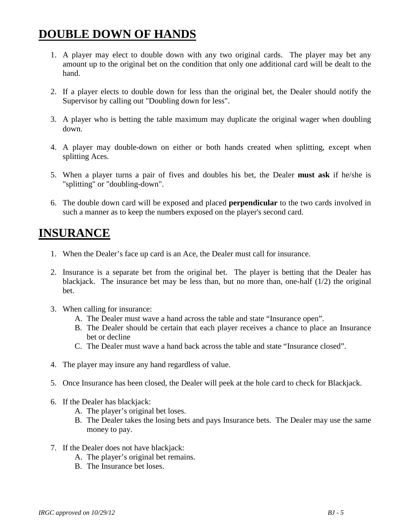### **DOUBLE DOWN OF HANDS**

- 1. A player may elect to double down with any two original cards. The player may bet any amount up to the original bet on the condition that only one additional card will be dealt to the hand.
- 2. If a player elects to double down for less than the original bet, the Dealer should notify the Supervisor by calling out "Doubling down for less".
- 3. A player who is betting the table maximum may duplicate the original wager when doubling down.
- 4. A player may double-down on either or both hands created when splitting, except when splitting Aces.
- 5. When a player turns a pair of fives and doubles his bet, the Dealer **must ask** if he/she is "splitting" or "doubling-down".
- 6. The double down card will be exposed and placed **perpendicular** to the two cards involved in such a manner as to keep the numbers exposed on the player's second card.

#### **INSURANCE**

- 1. When the Dealer's face up card is an Ace, the Dealer must call for insurance.
- 2. Insurance is a separate bet from the original bet. The player is betting that the Dealer has blackjack. The insurance bet may be less than, but no more than, one-half  $(1/2)$  the original bet.
- 3. When calling for insurance:
	- A. The Dealer must wave a hand across the table and state "Insurance open".
	- B. The Dealer should be certain that each player receives a chance to place an Insurance bet or decline
	- C. The Dealer must wave a hand back across the table and state "Insurance closed".
- 4. The player may insure any hand regardless of value.
- 5. Once Insurance has been closed, the Dealer will peek at the hole card to check for Blackjack.
- 6. If the Dealer has blackjack:
	- A. The player's original bet loses.
	- B. The Dealer takes the losing bets and pays Insurance bets. The Dealer may use the same money to pay.
- 7. If the Dealer does not have blackjack:
	- A. The player's original bet remains.
	- B. The Insurance bet loses.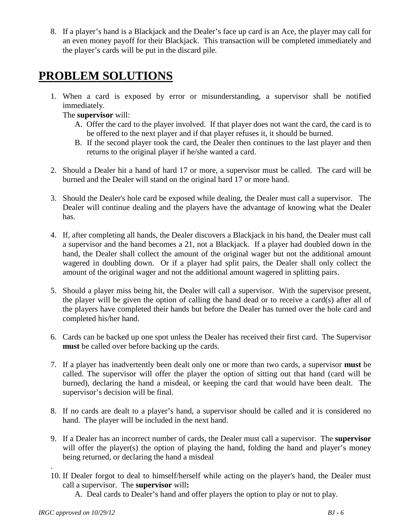8. If a player's hand is a Blackjack and the Dealer's face up card is an Ace, the player may call for an even money payoff for their Blackjack. This transaction will be completed immediately and the player's cards will be put in the discard pile.

### **PROBLEM SOLUTIONS**

1. When a card is exposed by error or misunderstanding, a supervisor shall be notified immediately.

The **supervisor** will:

- A. Offer the card to the player involved. If that player does not want the card, the card is to be offered to the next player and if that player refuses it, it should be burned.
- B. If the second player took the card, the Dealer then continues to the last player and then returns to the original player if he/she wanted a card.
- 2. Should a Dealer hit a hand of hard 17 or more, a supervisor must be called. The card will be burned and the Dealer will stand on the original hard 17 or more hand.
- 3. Should the Dealer's hole card be exposed while dealing, the Dealer must call a supervisor. The Dealer will continue dealing and the players have the advantage of knowing what the Dealer has.
- 4. If, after completing all hands, the Dealer discovers a Blackjack in his hand, the Dealer must call a supervisor and the hand becomes a 21, not a Blackjack. If a player had doubled down in the hand, the Dealer shall collect the amount of the original wager but not the additional amount wagered in doubling down. Or if a player had split pairs, the Dealer shall only collect the amount of the original wager and not the additional amount wagered in splitting pairs.
- 5. Should a player miss being hit, the Dealer will call a supervisor. With the supervisor present, the player will be given the option of calling the hand dead or to receive a card(s) after all of the players have completed their hands but before the Dealer has turned over the hole card and completed his/her hand.
- 6. Cards can be backed up one spot unless the Dealer has received their first card. The Supervisor **must** be called over before backing up the cards.
- 7. If a player has inadvertently been dealt only one or more than two cards, a supervisor **must** be called. The supervisor will offer the player the option of sitting out that hand (card will be burned), declaring the hand a misdeal, or keeping the card that would have been dealt. The supervisor's decision will be final.
- 8. If no cards are dealt to a player's hand, a supervisor should be called and it is considered no hand. The player will be included in the next hand.
- 9. If a Dealer has an incorrect number of cards, the Dealer must call a supervisor. The **supervisor** will offer the player(s) the option of playing the hand, folding the hand and player's money being returned, or declaring the hand a misdeal
- . 10. If Dealer forgot to deal to himself/herself while acting on the player's hand, the Dealer must call a supervisor. The **supervisor** will**:**

A. Deal cards to Dealer's hand and offer players the option to play or not to play.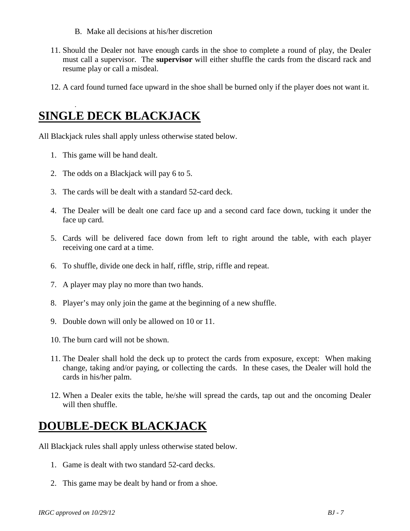- B. Make all decisions at his/her discretion
- 11. Should the Dealer not have enough cards in the shoe to complete a round of play, the Dealer must call a supervisor. The **supervisor** will either shuffle the cards from the discard rack and resume play or call a misdeal.
- 12. A card found turned face upward in the shoe shall be burned only if the player does not want it.

### **SINGLE DECK BLACKJACK**

All Blackjack rules shall apply unless otherwise stated below.

1. This game will be hand dealt.

.

- 2. The odds on a Blackjack will pay 6 to 5.
- 3. The cards will be dealt with a standard 52-card deck.
- 4. The Dealer will be dealt one card face up and a second card face down, tucking it under the face up card.
- 5. Cards will be delivered face down from left to right around the table, with each player receiving one card at a time.
- 6. To shuffle, divide one deck in half, riffle, strip, riffle and repeat.
- 7. A player may play no more than two hands.
- 8. Player's may only join the game at the beginning of a new shuffle.
- 9. Double down will only be allowed on 10 or 11.
- 10. The burn card will not be shown.
- 11. The Dealer shall hold the deck up to protect the cards from exposure, except: When making change, taking and/or paying, or collecting the cards. In these cases, the Dealer will hold the cards in his/her palm.
- 12. When a Dealer exits the table, he/she will spread the cards, tap out and the oncoming Dealer will then shuffle.

### **DOUBLE-DECK BLACKJACK**

All Blackjack rules shall apply unless otherwise stated below.

- 1. Game is dealt with two standard 52-card decks.
- 2. This game may be dealt by hand or from a shoe.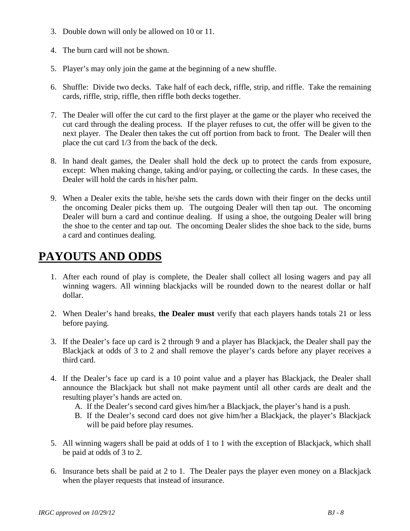- 3. Double down will only be allowed on 10 or 11.
- 4. The burn card will not be shown.
- 5. Player's may only join the game at the beginning of a new shuffle.
- 6. Shuffle: Divide two decks. Take half of each deck, riffle, strip, and riffle. Take the remaining cards, riffle, strip, riffle, then riffle both decks together.
- 7. The Dealer will offer the cut card to the first player at the game or the player who received the cut card through the dealing process. If the player refuses to cut, the offer will be given to the next player. The Dealer then takes the cut off portion from back to front. The Dealer will then place the cut card 1/3 from the back of the deck.
- 8. In hand dealt games, the Dealer shall hold the deck up to protect the cards from exposure, except: When making change, taking and/or paying, or collecting the cards. In these cases, the Dealer will hold the cards in his/her palm.
- 9. When a Dealer exits the table, he/she sets the cards down with their finger on the decks until the oncoming Dealer picks them up. The outgoing Dealer will then tap out. The oncoming Dealer will burn a card and continue dealing. If using a shoe, the outgoing Dealer will bring the shoe to the center and tap out. The oncoming Dealer slides the shoe back to the side, burns a card and continues dealing.

## **PAYOUTS AND ODDS**

- 1. After each round of play is complete, the Dealer shall collect all losing wagers and pay all winning wagers. All winning blackjacks will be rounded down to the nearest dollar or half dollar.
- 2. When Dealer's hand breaks, **the Dealer must** verify that each players hands totals 21 or less before paying.
- 3. If the Dealer's face up card is 2 through 9 and a player has Blackjack, the Dealer shall pay the Blackjack at odds of 3 to 2 and shall remove the player's cards before any player receives a third card.
- 4. If the Dealer's face up card is a 10 point value and a player has Blackjack, the Dealer shall announce the Blackjack but shall not make payment until all other cards are dealt and the resulting player's hands are acted on.
	- A. If the Dealer's second card gives him/her a Blackjack, the player's hand is a push.
	- B. If the Dealer's second card does not give him/her a Blackjack, the player's Blackjack will be paid before play resumes.
- 5. All winning wagers shall be paid at odds of 1 to 1 with the exception of Blackjack, which shall be paid at odds of 3 to 2.
- 6. Insurance bets shall be paid at 2 to 1. The Dealer pays the player even money on a Blackjack when the player requests that instead of insurance.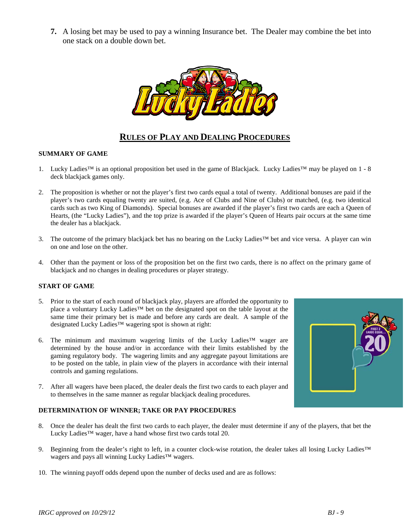**7.** A losing bet may be used to pay a winning Insurance bet. The Dealer may combine the bet into one stack on a double down bet.



#### **RULES OF PLAY AND DEALING PROCEDURES**

#### **SUMMARY OF GAME**

- 1. Lucky Ladies™ is an optional proposition bet used in the game of Blackjack. Lucky Ladies™ may be played on 1 8 deck blackjack games only.
- 2. The proposition is whether or not the player's first two cards equal a total of twenty. Additional bonuses are paid if the player's two cards equaling twenty are suited, (e.g. Ace of Clubs and Nine of Clubs) or matched, (e.g. two identical cards such as two King of Diamonds). Special bonuses are awarded if the player's first two cards are each a Queen of Hearts, (the "Lucky Ladies"), and the top prize is awarded if the player's Queen of Hearts pair occurs at the same time the dealer has a blackjack.
- 3. The outcome of the primary blackjack bet has no bearing on the Lucky Ladies™ bet and vice versa. A player can win on one and lose on the other.
- 4. Other than the payment or loss of the proposition bet on the first two cards, there is no affect on the primary game of blackjack and no changes in dealing procedures or player strategy.

#### **START OF GAME**

- 5. Prior to the start of each round of blackjack play, players are afforded the opportunity to place a voluntary Lucky Ladies™ bet on the designated spot on the table layout at the same time their primary bet is made and before any cards are dealt. A sample of the designated Lucky Ladies™ wagering spot is shown at right:
- 6. The minimum and maximum wagering limits of the Lucky Ladies™ wager are determined by the house and/or in accordance with their limits established by the gaming regulatory body. The wagering limits and any aggregate payout limitations are to be posted on the table, in plain view of the players in accordance with their internal controls and gaming regulations.
- 7. After all wagers have been placed, the dealer deals the first two cards to each player and to themselves in the same manner as regular blackjack dealing procedures.

#### **DETERMINATION OF WINNER; TAKE OR PAY PROCEDURES**

- 8. Once the dealer has dealt the first two cards to each player, the dealer must determine if any of the players, that bet the Lucky Ladies™ wager, have a hand whose first two cards total 20.
- 9. Beginning from the dealer's right to left, in a counter clock-wise rotation, the dealer takes all losing Lucky Ladies™ wagers and pays all winning Lucky Ladies™ wagers.
- 10. The winning payoff odds depend upon the number of decks used and are as follows: